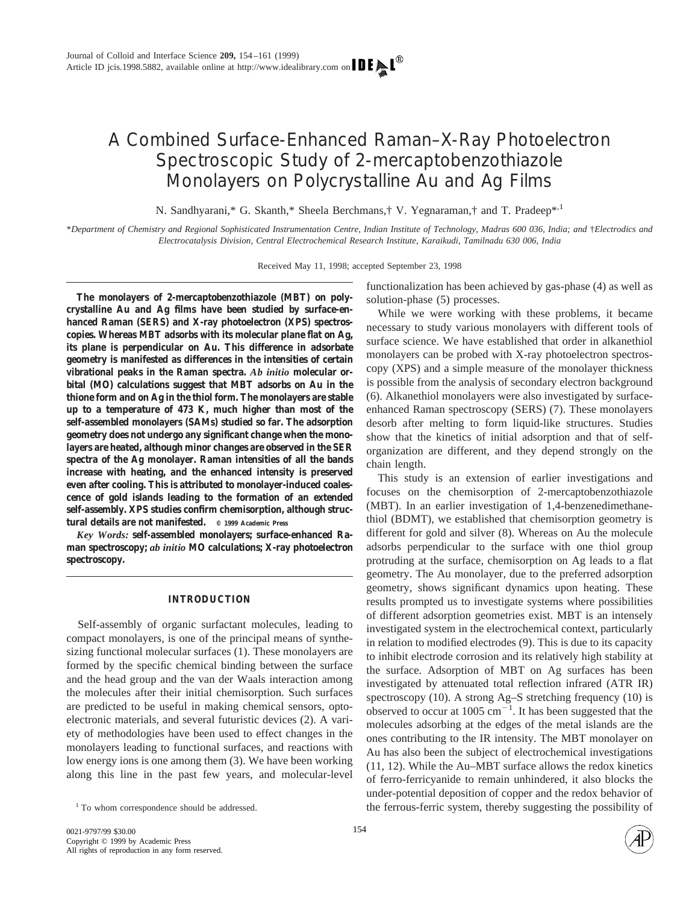# A Combined Surface-Enhanced Raman–X-Ray Photoelectron Spectroscopic Study of 2-mercaptobenzothiazole Monolayers on Polycrystalline Au and Ag Films

N. Sandhyarani,\* G. Skanth,\* Sheela Berchmans,† V. Yegnaraman,† and T. Pradeep\*,<sup>1</sup>

\**Department of Chemistry and Regional Sophisticated Instrumentation Centre, Indian Institute of Technology, Madras 600 036, India; and* †*Electrodics and Electrocatalysis Division, Central Electrochemical Research Institute, Karaikudi, Tamilnadu 630 006, India*

Received May 11, 1998; accepted September 23, 1998

**The monolayers of 2-mercaptobenzothiazole (MBT) on polycrystalline Au and Ag films have been studied by surface-enhanced Raman (SERS) and X-ray photoelectron (XPS) spectroscopies. Whereas MBT adsorbs with its molecular plane flat on Ag, its plane is perpendicular on Au. This difference in adsorbate geometry is manifested as differences in the intensities of certain vibrational peaks in the Raman spectra.** *Ab initio* **molecular orbital (MO) calculations suggest that MBT adsorbs on Au in the thione form and on Ag in the thiol form. The monolayers are stable up to a temperature of 473 K, much higher than most of the self-assembled monolayers (SAMs) studied so far. The adsorption geometry does not undergo any significant change when the monolayers are heated, although minor changes are observed in the SER spectra of the Ag monolayer. Raman intensities of all the bands increase with heating, and the enhanced intensity is preserved even after cooling. This is attributed to monolayer-induced coalescence of gold islands leading to the formation of an extended self-assembly. XPS studies confirm chemisorption, although structural details are not manifested. © 1999 Academic Press**

*Key Words:* **self-assembled monolayers; surface-enhanced Raman spectroscopy;** *ab initio* **MO calculations; X-ray photoelectron spectroscopy.**

## **INTRODUCTION**

Self-assembly of organic surfactant molecules, leading to compact monolayers, is one of the principal means of synthesizing functional molecular surfaces (1). These monolayers are formed by the specific chemical binding between the surface and the head group and the van der Waals interaction among the molecules after their initial chemisorption. Such surfaces are predicted to be useful in making chemical sensors, optoelectronic materials, and several futuristic devices (2). A variety of methodologies have been used to effect changes in the monolayers leading to functional surfaces, and reactions with low energy ions is one among them (3). We have been working along this line in the past few years, and molecular-level functionalization has been achieved by gas-phase (4) as well as solution-phase (5) processes.

While we were working with these problems, it became necessary to study various monolayers with different tools of surface science. We have established that order in alkanethiol monolayers can be probed with X-ray photoelectron spectroscopy (XPS) and a simple measure of the monolayer thickness is possible from the analysis of secondary electron background (6). Alkanethiol monolayers were also investigated by surfaceenhanced Raman spectroscopy (SERS) (7). These monolayers desorb after melting to form liquid-like structures. Studies show that the kinetics of initial adsorption and that of selforganization are different, and they depend strongly on the chain length.

This study is an extension of earlier investigations and focuses on the chemisorption of 2-mercaptobenzothiazole (MBT). In an earlier investigation of 1,4-benzenedimethanethiol (BDMT), we established that chemisorption geometry is different for gold and silver (8). Whereas on Au the molecule adsorbs perpendicular to the surface with one thiol group protruding at the surface, chemisorption on Ag leads to a flat geometry. The Au monolayer, due to the preferred adsorption geometry, shows significant dynamics upon heating. These results prompted us to investigate systems where possibilities of different adsorption geometries exist. MBT is an intensely investigated system in the electrochemical context, particularly in relation to modified electrodes (9). This is due to its capacity to inhibit electrode corrosion and its relatively high stability at the surface. Adsorption of MBT on Ag surfaces has been investigated by attenuated total reflection infrared (ATR IR) spectroscopy (10). A strong Ag–S stretching frequency (10) is observed to occur at  $1005 \text{ cm}^{-1}$ . It has been suggested that the molecules adsorbing at the edges of the metal islands are the ones contributing to the IR intensity. The MBT monolayer on Au has also been the subject of electrochemical investigations (11, 12). While the Au–MBT surface allows the redox kinetics of ferro-ferricyanide to remain unhindered, it also blocks the under-potential deposition of copper and the redox behavior of <sup>1</sup> To whom correspondence should be addressed. The ferrous-ferric system, thereby suggesting the possibility of

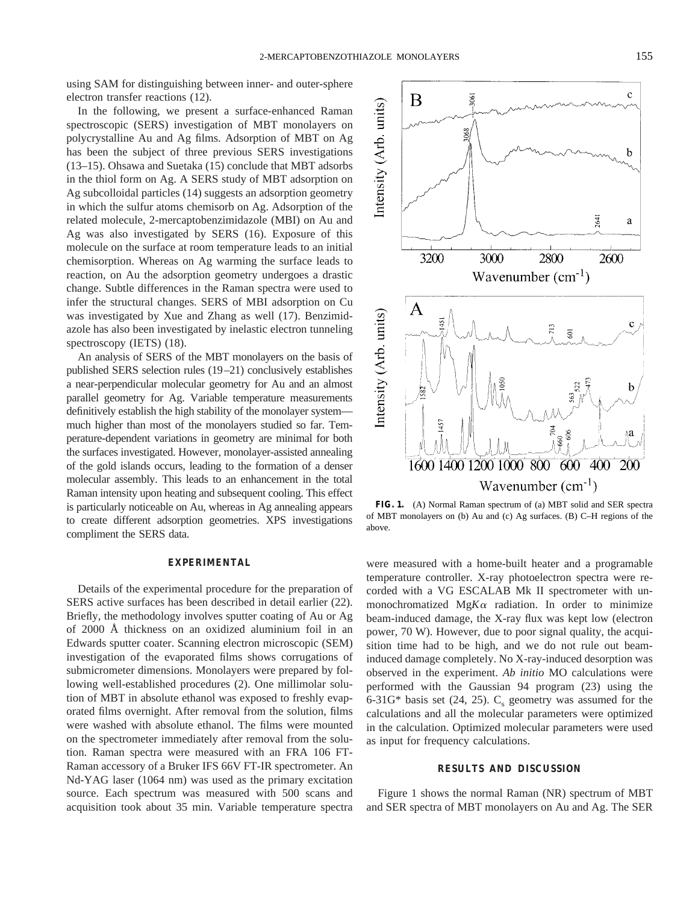using SAM for distinguishing between inner- and outer-sphere electron transfer reactions (12).

In the following, we present a surface-enhanced Raman spectroscopic (SERS) investigation of MBT monolayers on polycrystalline Au and Ag films. Adsorption of MBT on Ag has been the subject of three previous SERS investigations (13–15). Ohsawa and Suetaka (15) conclude that MBT adsorbs in the thiol form on Ag. A SERS study of MBT adsorption on Ag subcolloidal particles (14) suggests an adsorption geometry in which the sulfur atoms chemisorb on Ag. Adsorption of the related molecule, 2-mercaptobenzimidazole (MBI) on Au and Ag was also investigated by SERS (16). Exposure of this molecule on the surface at room temperature leads to an initial chemisorption. Whereas on Ag warming the surface leads to reaction, on Au the adsorption geometry undergoes a drastic change. Subtle differences in the Raman spectra were used to infer the structural changes. SERS of MBI adsorption on Cu was investigated by Xue and Zhang as well (17). Benzimidazole has also been investigated by inelastic electron tunneling spectroscopy (IETS)  $(18)$ .

An analysis of SERS of the MBT monolayers on the basis of published SERS selection rules (19–21) conclusively establishes a near-perpendicular molecular geometry for Au and an almost parallel geometry for Ag. Variable temperature measurements definitively establish the high stability of the monolayer system much higher than most of the monolayers studied so far. Temperature-dependent variations in geometry are minimal for both the surfaces investigated. However, monolayer-assisted annealing of the gold islands occurs, leading to the formation of a denser molecular assembly. This leads to an enhancement in the total Raman intensity upon heating and subsequent cooling. This effect is particularly noticeable on Au, whereas in Ag annealing appears to create different adsorption geometries. XPS investigations compliment the SERS data.

#### **EXPERIMENTAL**

Details of the experimental procedure for the preparation of SERS active surfaces has been described in detail earlier (22). Briefly, the methodology involves sputter coating of Au or Ag of 2000 Å thickness on an oxidized aluminium foil in an Edwards sputter coater. Scanning electron microscopic (SEM) investigation of the evaporated films shows corrugations of submicrometer dimensions. Monolayers were prepared by following well-established procedures (2). One millimolar solution of MBT in absolute ethanol was exposed to freshly evaporated films overnight. After removal from the solution, films were washed with absolute ethanol. The films were mounted on the spectrometer immediately after removal from the solution. Raman spectra were measured with an FRA 106 FT-Raman accessory of a Bruker IFS 66V FT-IR spectrometer. An Nd-YAG laser (1064 nm) was used as the primary excitation source. Each spectrum was measured with 500 scans and acquisition took about 35 min. Variable temperature spectra



**FIG. 1.** (A) Normal Raman spectrum of (a) MBT solid and SER spectra of MBT monolayers on (b) Au and (c) Ag surfaces. (B) C–H regions of the above.

were measured with a home-built heater and a programable temperature controller. X-ray photoelectron spectra were recorded with a VG ESCALAB Mk II spectrometer with unmonochromatized  $MgK\alpha$  radiation. In order to minimize beam-induced damage, the X-ray flux was kept low (electron power, 70 W). However, due to poor signal quality, the acquisition time had to be high, and we do not rule out beaminduced damage completely. No X-ray-induced desorption was observed in the experiment. *Ab initio* MO calculations were performed with the Gaussian 94 program (23) using the 6-31G\* basis set (24, 25).  $C_s$  geometry was assumed for the calculations and all the molecular parameters were optimized in the calculation. Optimized molecular parameters were used as input for frequency calculations.

### **RESULTS AND DISCUSSION**

Figure 1 shows the normal Raman (NR) spectrum of MBT and SER spectra of MBT monolayers on Au and Ag. The SER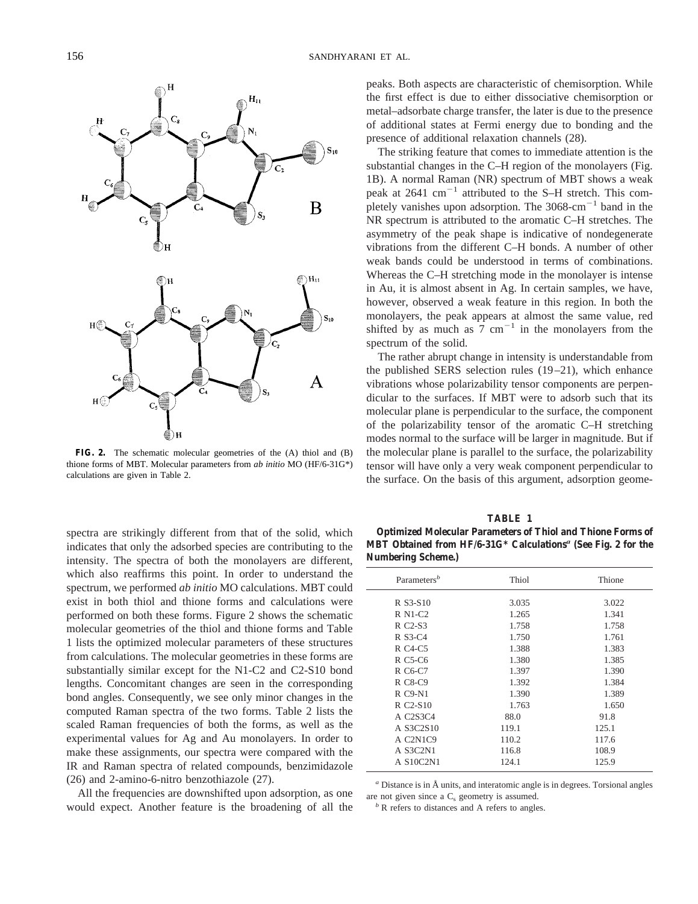

**FIG. 2.** The schematic molecular geometries of the (A) thiol and (B) thione forms of MBT. Molecular parameters from *ab initio* MO (HF/6-31G\*) calculations are given in Table 2.

spectra are strikingly different from that of the solid, which indicates that only the adsorbed species are contributing to the intensity. The spectra of both the monolayers are different, which also reaffirms this point. In order to understand the spectrum, we performed *ab initio* MO calculations. MBT could exist in both thiol and thione forms and calculations were performed on both these forms. Figure 2 shows the schematic molecular geometries of the thiol and thione forms and Table 1 lists the optimized molecular parameters of these structures from calculations. The molecular geometries in these forms are substantially similar except for the N1-C2 and C2-S10 bond lengths. Concomitant changes are seen in the corresponding bond angles. Consequently, we see only minor changes in the computed Raman spectra of the two forms. Table 2 lists the scaled Raman frequencies of both the forms, as well as the experimental values for Ag and Au monolayers. In order to make these assignments, our spectra were compared with the IR and Raman spectra of related compounds, benzimidazole (26) and 2-amino-6-nitro benzothiazole (27).

All the frequencies are downshifted upon adsorption, as one would expect. Another feature is the broadening of all the peaks. Both aspects are characteristic of chemisorption. While the first effect is due to either dissociative chemisorption or metal–adsorbate charge transfer, the later is due to the presence of additional states at Fermi energy due to bonding and the presence of additional relaxation channels (28).

The striking feature that comes to immediate attention is the substantial changes in the C–H region of the monolayers (Fig. 1B). A normal Raman (NR) spectrum of MBT shows a weak peak at  $2641 \text{ cm}^{-1}$  attributed to the S–H stretch. This completely vanishes upon adsorption. The  $3068 \text{--} \text{cm}^{-1}$  band in the NR spectrum is attributed to the aromatic C–H stretches. The asymmetry of the peak shape is indicative of nondegenerate vibrations from the different C–H bonds. A number of other weak bands could be understood in terms of combinations. Whereas the C–H stretching mode in the monolayer is intense in Au, it is almost absent in Ag. In certain samples, we have, however, observed a weak feature in this region. In both the monolayers, the peak appears at almost the same value, red shifted by as much as 7  $cm^{-1}$  in the monolayers from the spectrum of the solid.

The rather abrupt change in intensity is understandable from the published SERS selection rules (19–21), which enhance vibrations whose polarizability tensor components are perpendicular to the surfaces. If MBT were to adsorb such that its molecular plane is perpendicular to the surface, the component of the polarizability tensor of the aromatic C–H stretching modes normal to the surface will be larger in magnitude. But if the molecular plane is parallel to the surface, the polarizability tensor will have only a very weak component perpendicular to the surface. On the basis of this argument, adsorption geome-

**TABLE 1**

| <b>Optimized Molecular Parameters of Thiol and Thione Forms of</b>        |  |  |
|---------------------------------------------------------------------------|--|--|
| MBT Obtained from HF/6-31G* Calculations <sup>a</sup> (See Fig. 2 for the |  |  |
| <b>Numbering Scheme.)</b>                                                 |  |  |

| Thiol | Thione |
|-------|--------|
| 3.035 | 3.022  |
| 1.265 | 1.341  |
| 1.758 | 1.758  |
| 1.750 | 1.761  |
| 1.388 | 1.383  |
| 1.380 | 1.385  |
| 1.397 | 1.390  |
| 1.392 | 1.384  |
| 1.390 | 1.389  |
| 1.763 | 1.650  |
| 88.0  | 91.8   |
| 119.1 | 125.1  |
| 110.2 | 117.6  |
| 116.8 | 108.9  |
| 124.1 | 125.9  |
|       |        |

*<sup>a</sup>* Distance is in Å units, and interatomic angle is in degrees. Torsional angles are not given since a  $C_s$  geometry is assumed.<br>*b* R refers to distances and A refers to angles.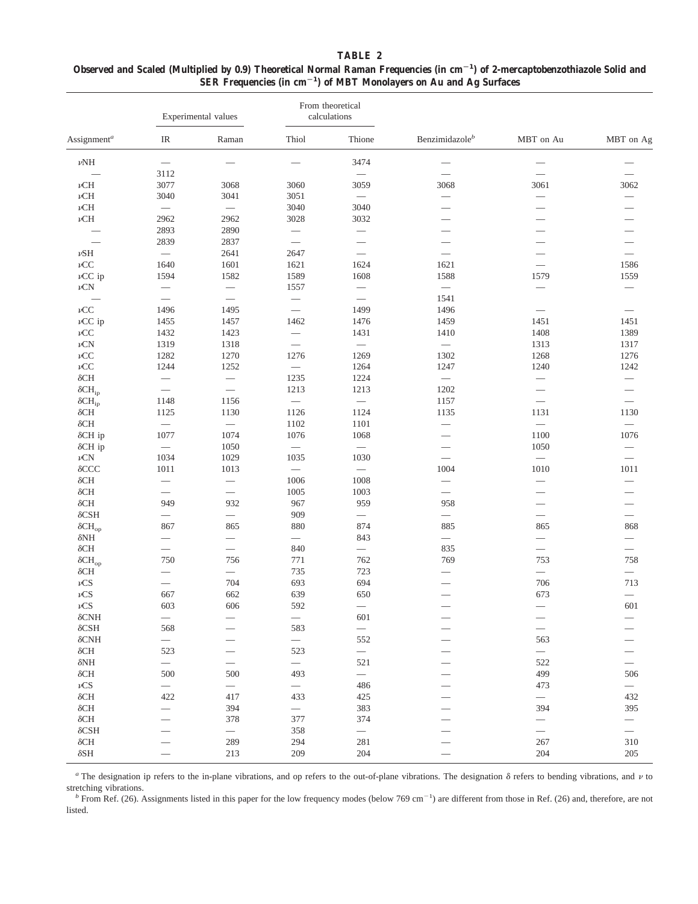| TABLE 2                                                                                                                           |
|-----------------------------------------------------------------------------------------------------------------------------------|
| Observed and Scaled (Multiplied by 0.9) Theoretical Normal Raman Frequencies (in $cm^{-1}$ ) of 2-mercaptobenzothiazole Solid and |
| SER Frequencies (in $cm^{-1}$ ) of MBT Monolayers on Au and Ag Surfaces                                                           |

| Assignment <sup>a</sup>       | Experimental values           |                          | From theoretical<br>calculations |                                |                            |                             |                          |
|-------------------------------|-------------------------------|--------------------------|----------------------------------|--------------------------------|----------------------------|-----------------------------|--------------------------|
|                               | IR                            | Raman                    | Thiol                            | Thione                         | Benzimidazole <sup>b</sup> | MBT on Au                   | MBT on Ag                |
| $\nu\mathrm{NH}$              |                               |                          |                                  | 3474                           |                            |                             |                          |
|                               | 3112                          |                          |                                  |                                |                            |                             |                          |
| $\nu$ CH                      | 3077                          | 3068                     | 3060                             | 3059                           | 3068                       | 3061                        | 3062                     |
| $\nu{\rm CH}$                 | 3040                          | 3041                     | 3051                             |                                |                            | $\overline{\phantom{0}}$    |                          |
| $\nu{\rm CH}$                 | $\overline{\phantom{0}}$      | $\overline{\phantom{m}}$ | 3040                             | 3040                           |                            |                             |                          |
| $\nu{\rm CH}$                 | 2962                          | 2962                     | 3028                             | 3032                           |                            |                             |                          |
|                               | 2893                          | 2890                     |                                  |                                |                            |                             |                          |
|                               | 2839                          | 2837                     |                                  |                                |                            |                             |                          |
| $\nu$ SH                      | $\overline{\phantom{0}}$      | 2641                     | 2647                             |                                |                            |                             |                          |
| $\nu CC$                      | 1640                          | 1601                     | 1621                             | 1624                           | 1621                       | $\overline{\phantom{0}}$    | 1586                     |
| $\nu CC$ ip                   | 1594                          | 1582                     | 1589                             | 1608                           | 1588                       | 1579                        | 1559                     |
| $\nu\mathrm{CN}$              | $\overbrace{\phantom{12333}}$ |                          | 1557                             | $\overbrace{\phantom{123321}}$ | $\overline{\phantom{0}}$   |                             |                          |
|                               | $\equiv$                      |                          |                                  |                                | 1541                       |                             |                          |
| $\nu CC$                      | 1496                          | 1495                     | $\overline{\phantom{0}}$         | 1499                           | 1496                       | $\overbrace{\hspace{15em}}$ |                          |
| $\nu CC$ ip                   | 1455                          | 1457                     | 1462                             | 1476                           | 1459                       | 1451                        | 1451                     |
| $\nu CC$                      | 1432                          |                          |                                  | 1431                           |                            | 1408                        | 1389                     |
|                               |                               | 1423                     |                                  |                                | 1410                       |                             |                          |
| $\nu\mathrm{CN}$              | 1319                          | 1318                     |                                  | $\overline{\phantom{0}}$       | $\overline{\phantom{0}}$   | 1313                        | 1317                     |
| $\nu CC$                      | 1282                          | 1270                     | 1276                             | 1269                           | 1302                       | 1268                        | 1276                     |
| $\nu CC$                      | 1244                          | 1252                     | $\overline{\phantom{m}}$         | 1264                           | 1247                       | 1240                        | 1242                     |
| $\delta\mathrm{CH}$           |                               |                          | 1235                             | 1224                           | $\overline{\phantom{m}}$   |                             |                          |
| $\delta\text{CH}_{\text{ip}}$ |                               |                          | 1213                             | 1213                           | 1202                       |                             |                          |
| $\delta\text{CH}_{\text{ip}}$ | 1148                          | 1156                     | $\overline{\phantom{0}}$         | $\overline{\phantom{0}}$       | 1157                       | $\equiv$                    | $\qquad \qquad$          |
| $\delta\mathrm{CH}$           | 1125                          | 1130                     | 1126                             | 1124                           | 1135                       | 1131                        | 1130                     |
| $\delta$ CH                   |                               |                          | 1102                             | 1101                           |                            | $\equiv$                    | $\overline{\phantom{0}}$ |
| $\delta$ CH ip                | 1077                          | 1074                     | 1076                             | 1068                           |                            | 1100                        | 1076                     |
| $\delta$ CH ip                |                               | 1050                     | $\overline{\phantom{0}}$         | $\overline{\phantom{0}}$       |                            | 1050                        |                          |
| $\nu$ CN                      | 1034                          | 1029                     | 1035                             | 1030                           |                            |                             | $\overline{\phantom{0}}$ |
| $\delta$ CCC                  | 1011                          | 1013                     | $\overline{\phantom{m}}$         | $\overline{\phantom{0}}$       | 1004                       | 1010                        | 1011                     |
| $\delta$ CH                   |                               |                          | 1006                             | 1008                           |                            |                             |                          |
| $\delta$ CH                   |                               |                          | 1005                             | 1003                           | $\overline{\phantom{0}}$   |                             |                          |
| $\delta\mathrm{CH}$           | 949                           | 932                      | 967                              | 959                            | 958                        |                             | $\equiv$                 |
| $\delta$ CSH                  |                               |                          | 909                              |                                |                            |                             |                          |
| $\delta{\rm CH_{op}}$         | 867                           | 865                      | 880                              | 874                            | 885                        | 865                         | 868                      |
| $\delta$ NH                   | $\overline{\phantom{0}}$      |                          | $\overline{\phantom{0}}$         | 843                            |                            |                             |                          |
| $\delta\mathrm{CH}$           |                               |                          | 840                              |                                | 835                        |                             |                          |
| $\delta{\rm CH_{op}}$         | 750                           | 756                      | 771                              | 762                            | 769                        | 753                         | 758                      |
| $\delta\mathrm{CH}$           | $\overline{\phantom{0}}$      |                          | 735                              | 723                            |                            | $\equiv$                    | $\overline{\phantom{0}}$ |
| $\nu\mathrm{CS}$              |                               | 704                      | 693                              | 694                            |                            |                             | 713                      |
| $\nu\mathrm{CS}$              |                               | 662                      | 639                              | 650                            |                            | 706<br>673                  |                          |
|                               | 667                           |                          |                                  |                                |                            |                             |                          |
| $\nu\text{CS}$                | 603                           | 606                      | 592                              |                                |                            |                             | 601                      |
| $\delta$ CNH                  | $\overline{\phantom{0}}$      |                          | $\overline{\phantom{0}}$         | 601                            |                            |                             |                          |
| $\delta\text{CSH}$            | 568                           |                          | 583                              | $\overline{\phantom{0}}$       |                            |                             |                          |
| $\delta\mathrm{CNH}$          | $\overline{\phantom{0}}$      |                          | $\overline{\phantom{0}}$         | 552                            |                            | 563                         |                          |
| $\delta\mathrm{CH}$           | 523                           |                          | 523                              | $\overline{\phantom{0}}$       |                            | $\overline{\phantom{0}}$    |                          |
| $\delta \rm NH$               | $\overline{\phantom{0}}$      | —<br>—                   |                                  | 521                            |                            | 522                         | $\overline{\phantom{0}}$ |
| $\delta\mathrm{CH}$           | 500                           | 500                      | 493                              | $\overline{\phantom{0}}$       |                            | 499                         | 506                      |
| $\nu\text{CS}$                |                               |                          | $\overline{\phantom{0}}$         | 486                            |                            | 473                         |                          |
| $\delta\mathrm{CH}$           | 422                           | 417                      | 433                              | 425                            |                            | $\overline{\phantom{0}}$    | 432                      |
| $\delta\mathrm{CH}$           |                               | 394                      | $\overline{\phantom{m}}$         | 383                            |                            | 394                         | 395                      |
| $\delta\mathrm{CH}$           |                               | 378                      | 377                              | 374                            |                            |                             | $\overline{\phantom{0}}$ |
| $\delta$ CSH                  |                               | $\overline{\phantom{0}}$ | 358                              | $\overline{\phantom{0}}$       |                            |                             | $\overline{\phantom{0}}$ |
| $\delta\mathrm{CH}$           |                               | 289                      | 294                              | 281                            |                            | 267                         | 310                      |
| $\delta\text{SH}$             |                               | 213                      | 209                              | 204                            |                            | 204                         | 205                      |
|                               |                               |                          |                                  |                                |                            |                             |                          |

<sup>*a*</sup> The designation ip refers to the in-plane vibrations, and op refers to the out-of-plane vibrations. The designation  $\delta$  refers to bending vibrations, and  $\nu$  to stretching vibrations.

*b* From Ref. (26). Assignments listed in this paper for the low frequency modes (below 769 cm<sup>-1</sup>) are different from those in Ref. (26) and, therefore, are not listed.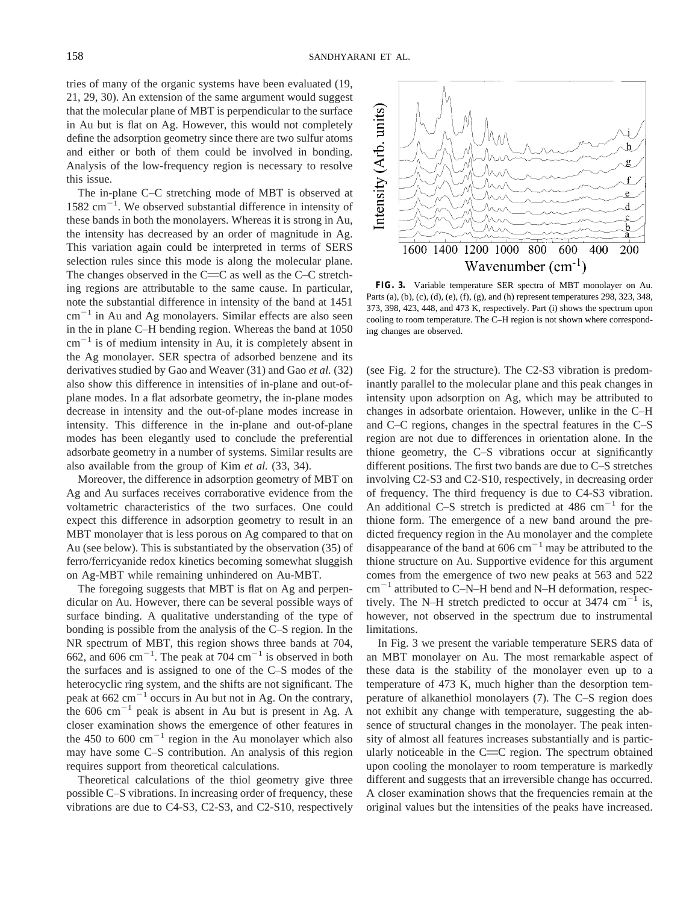tries of many of the organic systems have been evaluated (19, 21, 29, 30). An extension of the same argument would suggest that the molecular plane of MBT is perpendicular to the surface in Au but is flat on Ag. However, this would not completely define the adsorption geometry since there are two sulfur atoms and either or both of them could be involved in bonding. Analysis of the low-frequency region is necessary to resolve this issue.

The in-plane C–C stretching mode of MBT is observed at  $1582 \text{ cm}^{-1}$ . We observed substantial difference in intensity of these bands in both the monolayers. Whereas it is strong in Au, the intensity has decreased by an order of magnitude in Ag. This variation again could be interpreted in terms of SERS selection rules since this mode is along the molecular plane. The changes observed in the  $C=$ C as well as the C–C stretching regions are attributable to the same cause. In particular, note the substantial difference in intensity of the band at 1451  $cm^{-1}$  in Au and Ag monolayers. Similar effects are also seen in the in plane C–H bending region. Whereas the band at 1050  $cm^{-1}$  is of medium intensity in Au, it is completely absent in the Ag monolayer. SER spectra of adsorbed benzene and its derivatives studied by Gao and Weaver (31) and Gao *et al.* (32) also show this difference in intensities of in-plane and out-ofplane modes. In a flat adsorbate geometry, the in-plane modes decrease in intensity and the out-of-plane modes increase in intensity. This difference in the in-plane and out-of-plane modes has been elegantly used to conclude the preferential adsorbate geometry in a number of systems. Similar results are also available from the group of Kim *et al.* (33, 34).

Moreover, the difference in adsorption geometry of MBT on Ag and Au surfaces receives corraborative evidence from the voltametric characteristics of the two surfaces. One could expect this difference in adsorption geometry to result in an MBT monolayer that is less porous on Ag compared to that on Au (see below). This is substantiated by the observation (35) of ferro/ferricyanide redox kinetics becoming somewhat sluggish on Ag-MBT while remaining unhindered on Au-MBT.

The foregoing suggests that MBT is flat on Ag and perpendicular on Au. However, there can be several possible ways of surface binding. A qualitative understanding of the type of bonding is possible from the analysis of the C–S region. In the NR spectrum of MBT, this region shows three bands at 704, 662, and 606 cm<sup>-1</sup>. The peak at 704 cm<sup>-1</sup> is observed in both the surfaces and is assigned to one of the C–S modes of the heterocyclic ring system, and the shifts are not significant. The peak at  $662 \text{ cm}^{-1}$  occurs in Au but not in Ag. On the contrary, the 606 cm<sup> $-1$ </sup> peak is absent in Au but is present in Ag. A closer examination shows the emergence of other features in the 450 to 600  $\text{cm}^{-1}$  region in the Au monolayer which also may have some C–S contribution. An analysis of this region requires support from theoretical calculations.

Theoretical calculations of the thiol geometry give three possible C–S vibrations. In increasing order of frequency, these vibrations are due to C4-S3, C2-S3, and C2-S10, respectively



**FIG. 3.** Variable temperature SER spectra of MBT monolayer on Au. Parts (a), (b), (c), (d), (e), (f), (g), and (h) represent temperatures 298, 323, 348, 373, 398, 423, 448, and 473 K, respectively. Part (i) shows the spectrum upon cooling to room temperature. The C–H region is not shown where corresponding changes are observed.

(see Fig. 2 for the structure). The C2-S3 vibration is predominantly parallel to the molecular plane and this peak changes in intensity upon adsorption on Ag, which may be attributed to changes in adsorbate orientaion. However, unlike in the C–H and C–C regions, changes in the spectral features in the C–S region are not due to differences in orientation alone. In the thione geometry, the C–S vibrations occur at significantly different positions. The first two bands are due to C–S stretches involving C2-S3 and C2-S10, respectively, in decreasing order of frequency. The third frequency is due to C4-S3 vibration. An additional C–S stretch is predicted at 486 cm<sup>-1</sup> for the thione form. The emergence of a new band around the predicted frequency region in the Au monolayer and the complete disappearance of the band at 606 cm<sup> $-1$ </sup> may be attributed to the thione structure on Au. Supportive evidence for this argument comes from the emergence of two new peaks at 563 and 522  $cm^{-1}$  attributed to C–N–H bend and N–H deformation, respectively. The N–H stretch predicted to occur at  $3474 \text{ cm}^{-1}$  is, however, not observed in the spectrum due to instrumental limitations.

In Fig. 3 we present the variable temperature SERS data of an MBT monolayer on Au. The most remarkable aspect of these data is the stability of the monolayer even up to a temperature of 473 K, much higher than the desorption temperature of alkanethiol monolayers (7). The C–S region does not exhibit any change with temperature, suggesting the absence of structural changes in the monolayer. The peak intensity of almost all features increases substantially and is particularly noticeable in the  $C=$  region. The spectrum obtained upon cooling the monolayer to room temperature is markedly different and suggests that an irreversible change has occurred. A closer examination shows that the frequencies remain at the original values but the intensities of the peaks have increased.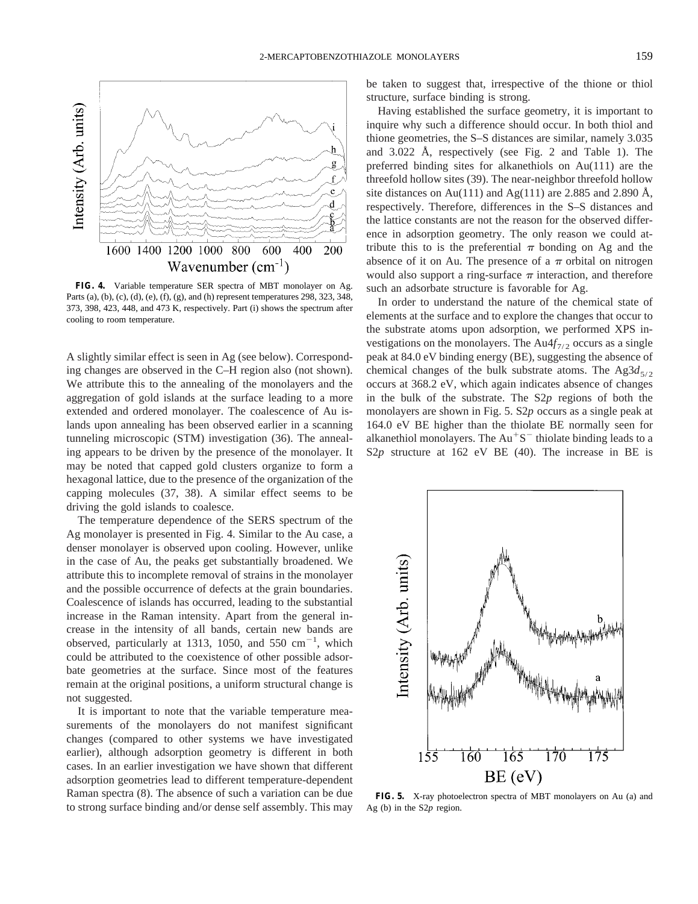

**FIG. 4.** Variable temperature SER spectra of MBT monolayer on Ag. Parts (a), (b), (c), (d), (e), (f), (g), and (h) represent temperatures 298, 323, 348, 373, 398, 423, 448, and 473 K, respectively. Part (i) shows the spectrum after cooling to room temperature.

A slightly similar effect is seen in Ag (see below). Corresponding changes are observed in the C–H region also (not shown). We attribute this to the annealing of the monolayers and the aggregation of gold islands at the surface leading to a more extended and ordered monolayer. The coalescence of Au islands upon annealing has been observed earlier in a scanning tunneling microscopic (STM) investigation (36). The annealing appears to be driven by the presence of the monolayer. It may be noted that capped gold clusters organize to form a hexagonal lattice, due to the presence of the organization of the capping molecules (37, 38). A similar effect seems to be driving the gold islands to coalesce.

The temperature dependence of the SERS spectrum of the Ag monolayer is presented in Fig. 4. Similar to the Au case, a denser monolayer is observed upon cooling. However, unlike in the case of Au, the peaks get substantially broadened. We attribute this to incomplete removal of strains in the monolayer and the possible occurrence of defects at the grain boundaries. Coalescence of islands has occurred, leading to the substantial increase in the Raman intensity. Apart from the general increase in the intensity of all bands, certain new bands are observed, particularly at 1313, 1050, and 550  $\text{cm}^{-1}$ , which could be attributed to the coexistence of other possible adsorbate geometries at the surface. Since most of the features remain at the original positions, a uniform structural change is not suggested.

It is important to note that the variable temperature measurements of the monolayers do not manifest significant changes (compared to other systems we have investigated earlier), although adsorption geometry is different in both cases. In an earlier investigation we have shown that different adsorption geometries lead to different temperature-dependent Raman spectra (8). The absence of such a variation can be due to strong surface binding and/or dense self assembly. This may be taken to suggest that, irrespective of the thione or thiol structure, surface binding is strong.

Having established the surface geometry, it is important to inquire why such a difference should occur. In both thiol and thione geometries, the S–S distances are similar, namely 3.035 and 3.022 Å, respectively (see Fig. 2 and Table 1). The preferred binding sites for alkanethiols on Au(111) are the threefold hollow sites (39). The near-neighbor threefold hollow site distances on Au(111) and Ag(111) are 2.885 and 2.890 Å, respectively. Therefore, differences in the S–S distances and the lattice constants are not the reason for the observed difference in adsorption geometry. The only reason we could attribute this to is the preferential  $\pi$  bonding on Ag and the absence of it on Au. The presence of a  $\pi$  orbital on nitrogen would also support a ring-surface  $\pi$  interaction, and therefore such an adsorbate structure is favorable for Ag.

In order to understand the nature of the chemical state of elements at the surface and to explore the changes that occur to the substrate atoms upon adsorption, we performed XPS investigations on the monolayers. The  $Au4f_{7/2}$  occurs as a single peak at 84.0 eV binding energy (BE), suggesting the absence of chemical changes of the bulk substrate atoms. The  $Ag3d_{5/2}$ occurs at 368.2 eV, which again indicates absence of changes in the bulk of the substrate. The S2*p* regions of both the monolayers are shown in Fig. 5. S2*p* occurs as a single peak at 164.0 eV BE higher than the thiolate BE normally seen for alkanethiol monolayers. The  $Au<sup>+</sup>S<sup>-</sup>$  thiolate binding leads to a S2*p* structure at 162 eV BE (40). The increase in BE is



**FIG. 5.** X-ray photoelectron spectra of MBT monolayers on Au (a) and Ag (b) in the S2*p* region.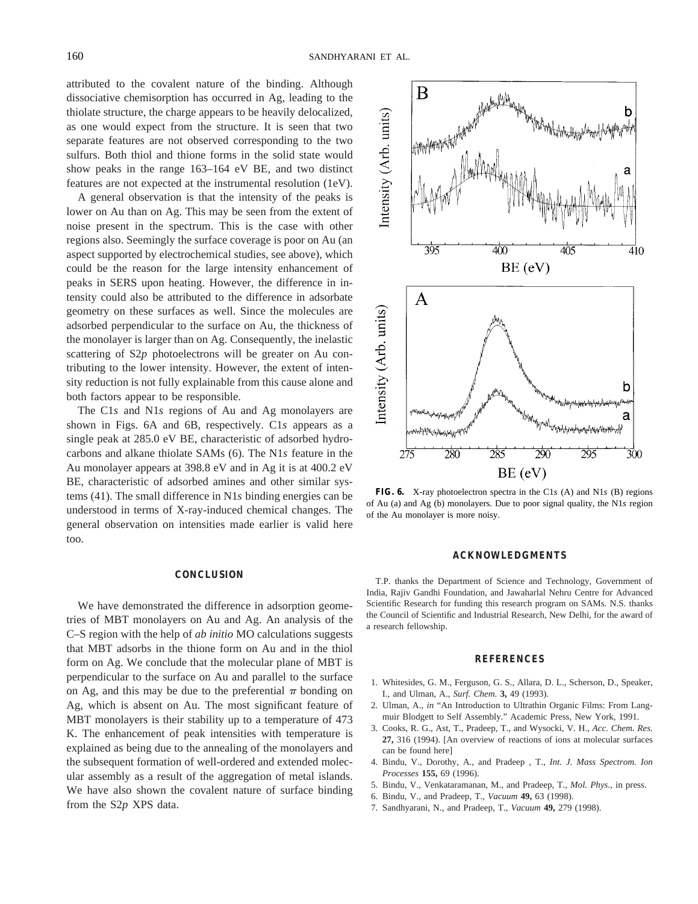attributed to the covalent nature of the binding. Although dissociative chemisorption has occurred in Ag, leading to the thiolate structure, the charge appears to be heavily delocalized, as one would expect from the structure. It is seen that two separate features are not observed corresponding to the two sulfurs. Both thiol and thione forms in the solid state would show peaks in the range 163–164 eV BE, and two distinct features are not expected at the instrumental resolution (1eV).

A general observation is that the intensity of the peaks is lower on Au than on Ag. This may be seen from the extent of noise present in the spectrum. This is the case with other regions also. Seemingly the surface coverage is poor on Au (an aspect supported by electrochemical studies, see above), which could be the reason for the large intensity enhancement of peaks in SERS upon heating. However, the difference in intensity could also be attributed to the difference in adsorbate geometry on these surfaces as well. Since the molecules are adsorbed perpendicular to the surface on Au, the thickness of the monolayer is larger than on Ag. Consequently, the inelastic scattering of S2*p* photoelectrons will be greater on Au contributing to the lower intensity. However, the extent of intensity reduction is not fully explainable from this cause alone and both factors appear to be responsible.

The C1*s* and N1*s* regions of Au and Ag monolayers are shown in Figs. 6A and 6B, respectively. C1*s* appears as a single peak at 285.0 eV BE, characteristic of adsorbed hydrocarbons and alkane thiolate SAMs (6). The N1*s* feature in the Au monolayer appears at 398.8 eV and in Ag it is at 400.2 eV BE, characteristic of adsorbed amines and other similar systems (41). The small difference in N1*s* binding energies can be understood in terms of X-ray-induced chemical changes. The general observation on intensities made earlier is valid here too.

# **CONCLUSION**

We have demonstrated the difference in adsorption geometries of MBT monolayers on Au and Ag. An analysis of the C–S region with the help of *ab initio* MO calculations suggests that MBT adsorbs in the thione form on Au and in the thiol form on Ag. We conclude that the molecular plane of MBT is perpendicular to the surface on Au and parallel to the surface on Ag, and this may be due to the preferential  $\pi$  bonding on Ag, which is absent on Au. The most significant feature of MBT monolayers is their stability up to a temperature of 473 K. The enhancement of peak intensities with temperature is explained as being due to the annealing of the monolayers and the subsequent formation of well-ordered and extended molecular assembly as a result of the aggregation of metal islands. We have also shown the covalent nature of surface binding from the S2*p* XPS data.



**FIG. 6.** X-ray photoelectron spectra in the C1*s* (A) and N1*s* (B) regions of Au (a) and Ag (b) monolayers. Due to poor signal quality, the N1*s* region of the Au monolayer is more noisy.

#### **ACKNOWLEDGMENTS**

T.P. thanks the Department of Science and Technology, Government of India, Rajiv Gandhi Foundation, and Jawaharlal Nehru Centre for Advanced Scientific Research for funding this research program on SAMs. N.S. thanks the Council of Scientific and Industrial Research, New Delhi, for the award of a research fellowship.

#### **REFERENCES**

- 1. Whitesides, G. M., Ferguson, G. S., Allara, D. L., Scherson, D., Speaker, I., and Ulman, A., *Surf. Chem.* **3,** 49 (1993).
- 2. Ulman, A., *in* "An Introduction to Ultrathin Organic Films: From Langmuir Blodgett to Self Assembly." Academic Press, New York, 1991.
- 3. Cooks, R. G., Ast, T., Pradeep, T., and Wysocki, V. H., *Acc. Chem. Res.* **27,** 316 (1994). [An overview of reactions of ions at molecular surfaces can be found here]
- 4. Bindu, V., Dorothy, A., and Pradeep , T., *Int. J. Mass Spectrom. Ion Processes* **155,** 69 (1996).
- 5. Bindu, V., Venkataramanan, M., and Pradeep, T., *Mol. Phys.,* in press.
- 6. Bindu, V., and Pradeep, T., *Vacuum* **49,** 63 (1998).
- 7. Sandhyarani, N., and Pradeep, T., *Vacuum* **49,** 279 (1998).